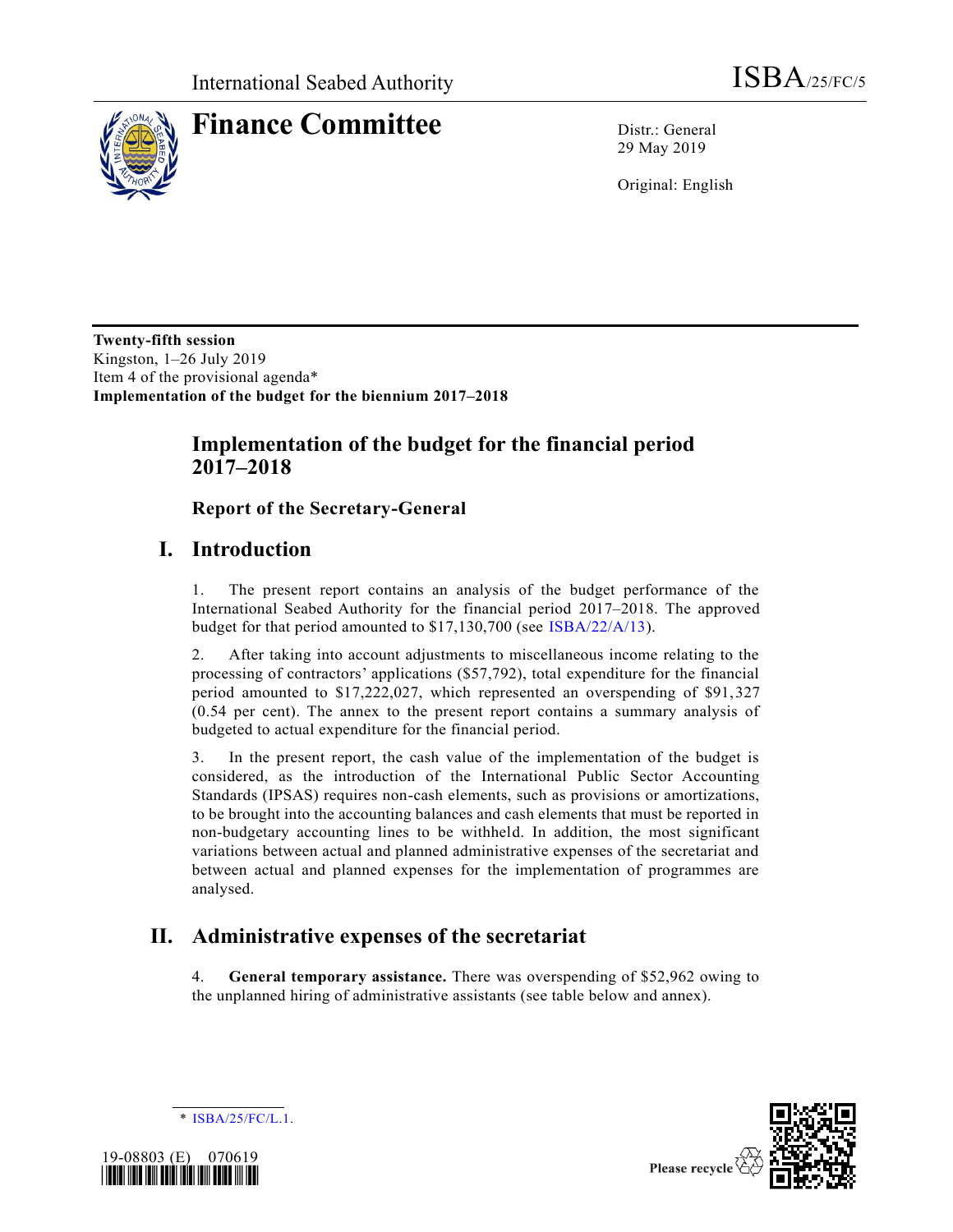

# **Finance Committee** Distr.: General

29 May 2019

Original: English

**Twenty-fifth session** Kingston, 1–26 July 2019 Item 4 of the provisional agenda\* **Implementation of the budget for the biennium 2017–2018**

### **Implementation of the budget for the financial period 2017–2018**

**Report of the Secretary-General**

## **I. Introduction**

1. The present report contains an analysis of the budget performance of the International Seabed Authority for the financial period 2017–2018. The approved budget for that period amounted to \$17,130,700 (see [ISBA/22/A/13\)](https://undocs.org/en/ISBA/22/A/13).

2. After taking into account adjustments to miscellaneous income relating to the processing of contractors' applications (\$57,792), total expenditure for the financial period amounted to \$17,222,027, which represented an overspending of \$91,327 (0.54 per cent). The annex to the present report contains a summary analysis of budgeted to actual expenditure for the financial period.

3. In the present report, the cash value of the implementation of the budget is considered, as the introduction of the International Public Sector Accounting Standards (IPSAS) requires non-cash elements, such as provisions or amortizations, to be brought into the accounting balances and cash elements that must be reported in non-budgetary accounting lines to be withheld. In addition, the most significant variations between actual and planned administrative expenses of the secretariat and between actual and planned expenses for the implementation of programmes are analysed.

## **II. Administrative expenses of the secretariat**

4. **General temporary assistance.** There was overspending of \$52,962 owing to the unplanned hiring of administrative assistants (see table below and annex).



\* [ISBA/25/FC/L.1.](https://undocs.org/en/ISBA/25/FC/L.1)



Please recycle  $\Diamond$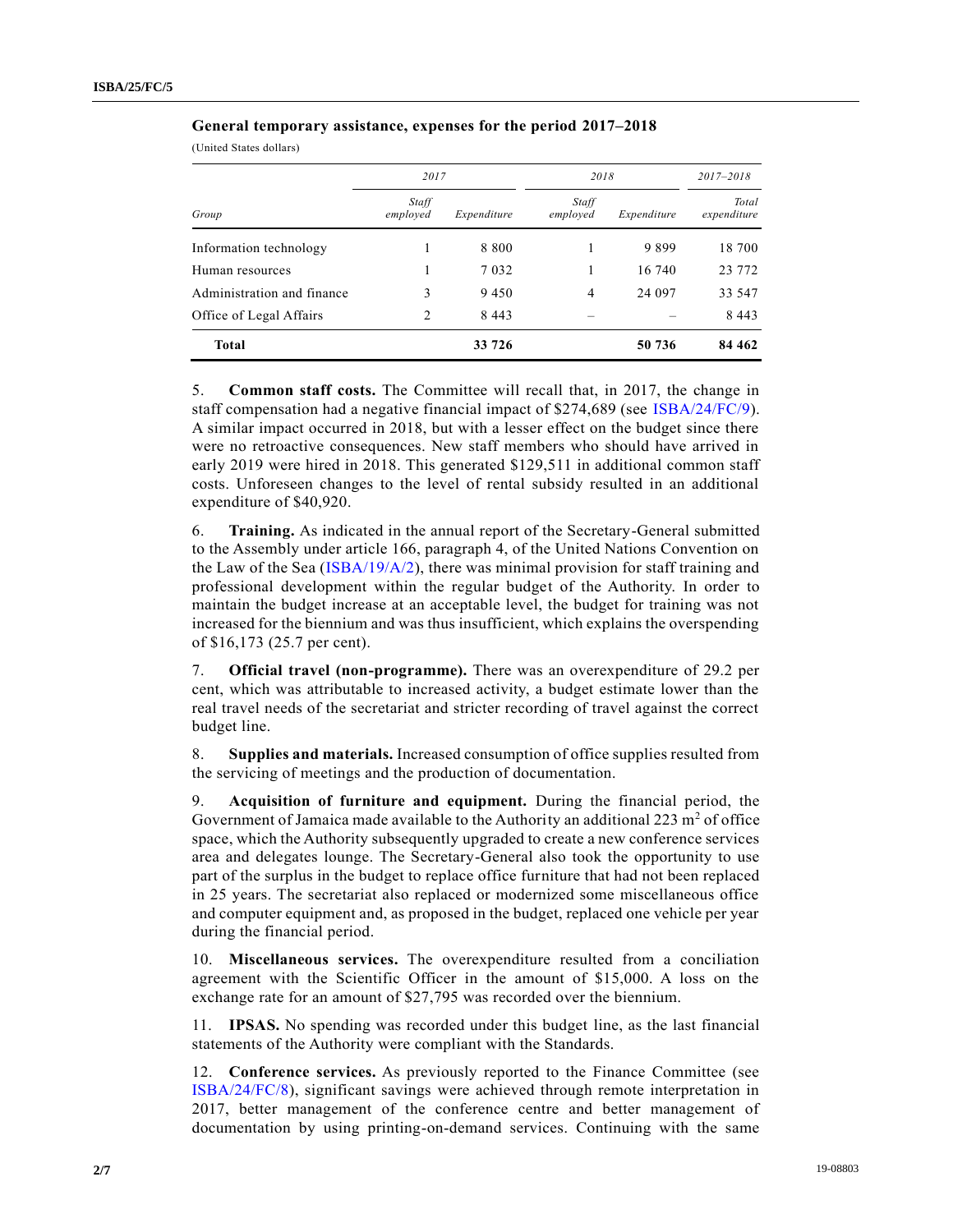(United States dollars)

|                            | 2017              |             | 2018              | 2017-2018   |                      |
|----------------------------|-------------------|-------------|-------------------|-------------|----------------------|
| Group                      | Staff<br>employed | Expenditure | Staff<br>employed | Expenditure | Total<br>expenditure |
| Information technology     |                   | 8 8 0 0     |                   | 9899        | 18 700               |
| Human resources            |                   | 7 0 3 2     |                   | 16 740      | 23 772               |
| Administration and finance | 3                 | 9450        | 4                 | 24 097      | 33 547               |
| Office of Legal Affairs    | 2                 | 8 4 4 3     |                   |             | 8 4 4 3              |
| <b>Total</b>               |                   | 33 726      |                   | 50 736      | 84 4 62              |

**General temporary assistance, expenses for the period 2017–2018**

5. **Common staff costs.** The Committee will recall that, in 2017, the change in staff compensation had a negative financial impact of \$274,689 (see [ISBA/24/FC/9\)](https://undocs.org/en/ISBA/24/FC/9). A similar impact occurred in 2018, but with a lesser effect on the budget since there were no retroactive consequences. New staff members who should have arrived in early 2019 were hired in 2018. This generated \$129,511 in additional common staff costs. Unforeseen changes to the level of rental subsidy resulted in an additional expenditure of \$40,920.

6. **Training.** As indicated in the annual report of the Secretary-General submitted to the Assembly under article 166, paragraph 4, of the United Nations Convention on the Law of the Sea [\(ISBA/19/A/2\)](https://undocs.org/en/ISBA/19/A/2), there was minimal provision for staff training and professional development within the regular budget of the Authority. In order to maintain the budget increase at an acceptable level, the budget for training was not increased for the biennium and was thus insufficient, which explains the overspending of \$16,173 (25.7 per cent).

7. **Official travel (non-programme).** There was an overexpenditure of 29.2 per cent, which was attributable to increased activity, a budget estimate lower than the real travel needs of the secretariat and stricter recording of travel against the correct budget line.

8. **Supplies and materials.** Increased consumption of office supplies resulted from the servicing of meetings and the production of documentation.

9. **Acquisition of furniture and equipment.** During the financial period, the Government of Jamaica made available to the Authority an additional  $223 \text{ m}^2$  of office space, which the Authority subsequently upgraded to create a new conference services area and delegates lounge. The Secretary-General also took the opportunity to use part of the surplus in the budget to replace office furniture that had not been replaced in 25 years. The secretariat also replaced or modernized some miscellaneous office and computer equipment and, as proposed in the budget, replaced one vehicle per year during the financial period.

10. **Miscellaneous services.** The overexpenditure resulted from a conciliation agreement with the Scientific Officer in the amount of \$15,000. A loss on the exchange rate for an amount of \$27,795 was recorded over the biennium.

11. **IPSAS.** No spending was recorded under this budget line, as the last financial statements of the Authority were compliant with the Standards.

12. **Conference services.** As previously reported to the Finance Committee (see [ISBA/24/FC/8\)](https://undocs.org/en/ISBA/24/FC/8), significant savings were achieved through remote interpretation in 2017, better management of the conference centre and better management of documentation by using printing-on-demand services. Continuing with the same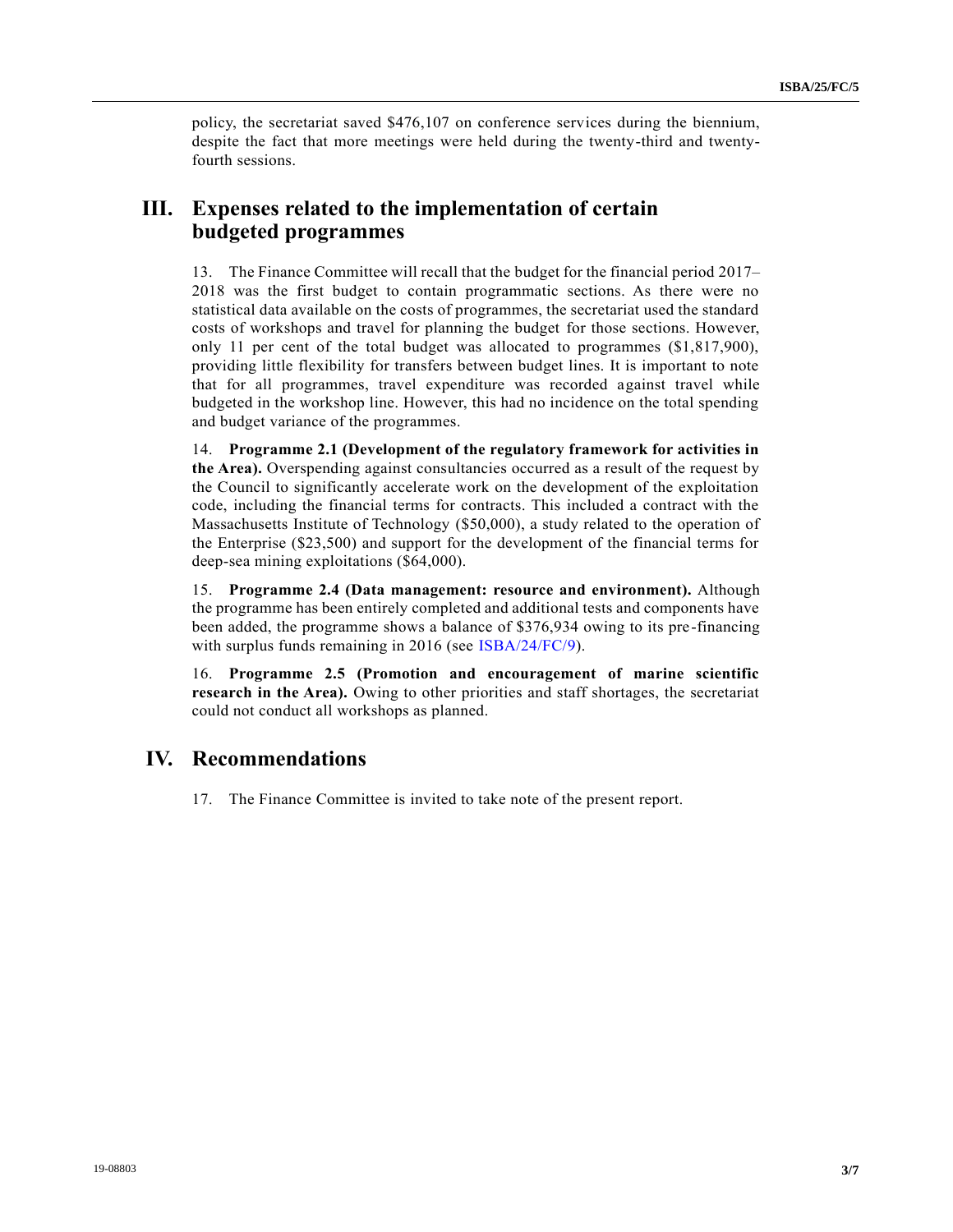policy, the secretariat saved \$476,107 on conference services during the biennium, despite the fact that more meetings were held during the twenty-third and twentyfourth sessions.

#### **III. Expenses related to the implementation of certain budgeted programmes**

13. The Finance Committee will recall that the budget for the financial period 2017– 2018 was the first budget to contain programmatic sections. As there were no statistical data available on the costs of programmes, the secretariat used the standard costs of workshops and travel for planning the budget for those sections. However, only 11 per cent of the total budget was allocated to programmes (\$1,817,900), providing little flexibility for transfers between budget lines. It is important to note that for all programmes, travel expenditure was recorded against travel while budgeted in the workshop line. However, this had no incidence on the total spending and budget variance of the programmes.

14. **Programme 2.1 (Development of the regulatory framework for activities in the Area).** Overspending against consultancies occurred as a result of the request by the Council to significantly accelerate work on the development of the exploitation code, including the financial terms for contracts. This included a contract with the Massachusetts Institute of Technology (\$50,000), a study related to the operation of the Enterprise (\$23,500) and support for the development of the financial terms for deep-sea mining exploitations (\$64,000).

15. **Programme 2.4 (Data management: resource and environment).** Although the programme has been entirely completed and additional tests and components have been added, the programme shows a balance of \$376,934 owing to its pre-financing with surplus funds remaining in 2016 (see [ISBA/24/FC/9\)](https://undocs.org/en/ISBA/24/FC/9).

16. **Programme 2.5 (Promotion and encouragement of marine scientific research in the Area).** Owing to other priorities and staff shortages, the secretariat could not conduct all workshops as planned.

#### **IV. Recommendations**

17. The Finance Committee is invited to take note of the present report.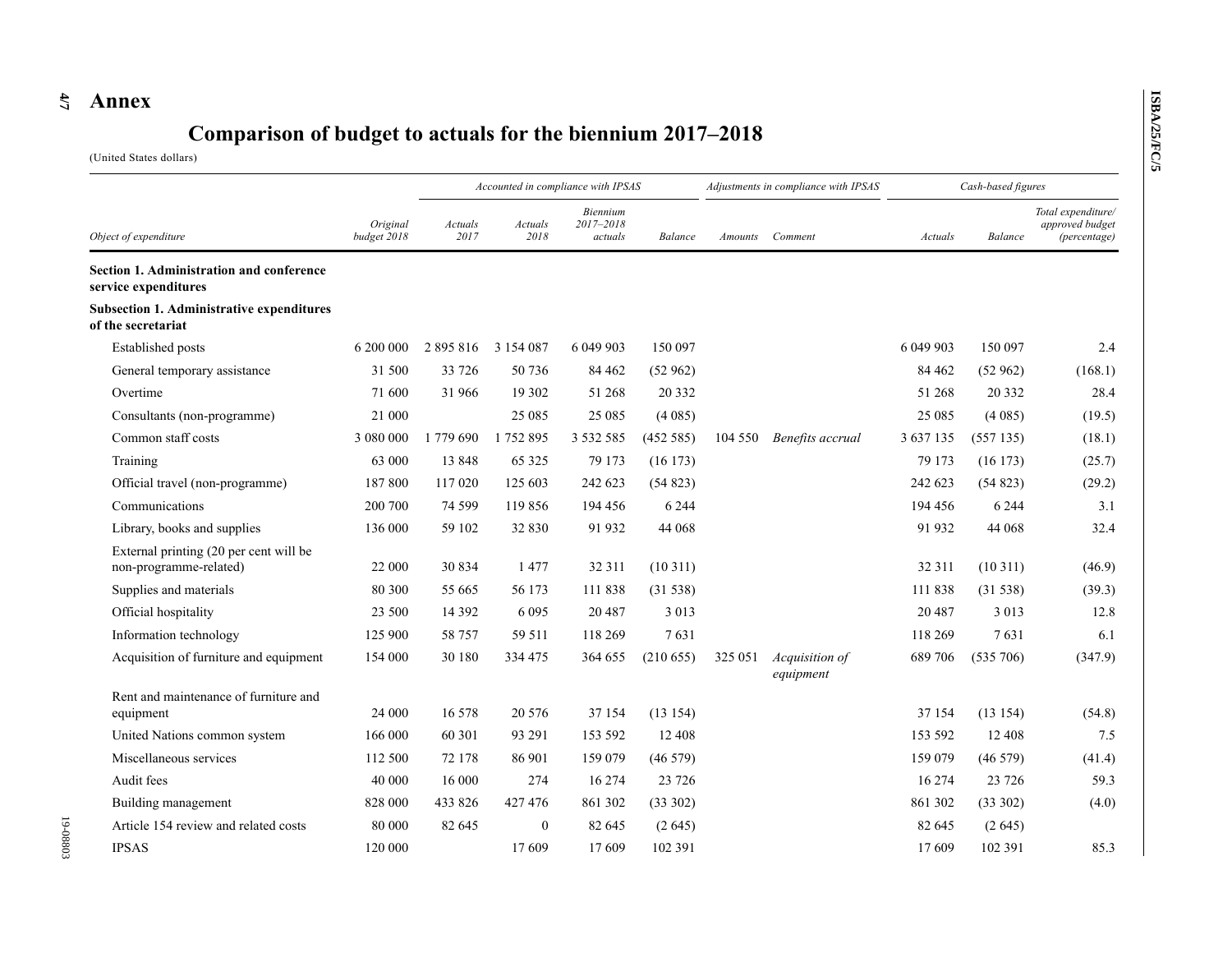## **4 /7 Annex**

## **Comparison of budget to actuals for the biennium 2017–2018**

(United States dollars)

| Object of expenditure                                                  |                         | Accounted in compliance with IPSAS |                 |                                  |           | Adjustments in compliance with IPSAS |                             | Cash-based figures |             |                                                       |
|------------------------------------------------------------------------|-------------------------|------------------------------------|-----------------|----------------------------------|-----------|--------------------------------------|-----------------------------|--------------------|-------------|-------------------------------------------------------|
|                                                                        | Original<br>budget 2018 | Actuals<br>2017                    | Actuals<br>2018 | Biennium<br>2017-2018<br>actuals | Balance   | Amounts                              | Comment                     | Actuals            | Balance     | Total expenditure/<br>approved budget<br>(percentage) |
| Section 1. Administration and conference<br>service expenditures       |                         |                                    |                 |                                  |           |                                      |                             |                    |             |                                                       |
| <b>Subsection 1. Administrative expenditures</b><br>of the secretariat |                         |                                    |                 |                                  |           |                                      |                             |                    |             |                                                       |
| Established posts                                                      | 6 200 000               | 2 895 816                          | 3 1 5 4 0 8 7   | 6 049 903                        | 150 097   |                                      |                             | 6 049 903          | 150 097     | 2.4                                                   |
| General temporary assistance                                           | 31 500                  | 33 7 26                            | 50 736          | 84 4 62                          | (52962)   |                                      |                             | 84 4 62            | (52962)     | (168.1)                                               |
| Overtime                                                               | 71 600                  | 31966                              | 19 302          | 51 268                           | 20 332    |                                      |                             | 51 268             | 20 3 3 2    | 28.4                                                  |
| Consultants (non-programme)                                            | 21 000                  |                                    | 25 0 85         | 25 08 5                          | (4085)    |                                      |                             | 25 08 5            | (4085)      | (19.5)                                                |
| Common staff costs                                                     | 3 080 000               | 1779 690                           | 1752895         | 3 5 3 2 5 8 5                    | (452 585) | 104 550                              | Benefits accrual            | 3 637 135          | (557135)    | (18.1)                                                |
| Training                                                               | 63 000                  | 13848                              | 65 3 25         | 79 173                           | (16173)   |                                      |                             | 79 173             | $(16\ 173)$ | (25.7)                                                |
| Official travel (non-programme)                                        | 187800                  | 117 020                            | 125 603         | 242 623                          | (54823)   |                                      |                             | 242 623            | (54823)     | (29.2)                                                |
| Communications                                                         | 200 700                 | 74 5 99                            | 119856          | 194 456                          | 6 2 4 4   |                                      |                             | 194 456            | 6 2 4 4     | 3.1                                                   |
| Library, books and supplies                                            | 136 000                 | 59 102                             | 32 830          | 91 932                           | 44 068    |                                      |                             | 91 932             | 44 068      | 32.4                                                  |
| External printing (20 per cent will be<br>non-programme-related)       | 22 000                  | 30 834                             | 1477            | 32 311                           | (10311)   |                                      |                             | 32 311             | (10311)     | (46.9)                                                |
| Supplies and materials                                                 | 80 300                  | 55 665                             | 56 173          | 111 838                          | (31 538)  |                                      |                             | 111 838            | (31538)     | (39.3)                                                |
| Official hospitality                                                   | 23 500                  | 14 3 9 2                           | 6 0 9 5         | 20487                            | 3 0 1 3   |                                      |                             | 20 4 87            | 3 0 1 3     | 12.8                                                  |
| Information technology                                                 | 125 900                 | 58 757                             | 59 511          | 118 269                          | 7631      |                                      |                             | 118 269            | 7631        | 6.1                                                   |
| Acquisition of furniture and equipment                                 | 154 000                 | 30 180                             | 334 475         | 364 655                          | (210655)  | 325 051                              | Acquisition of<br>equipment | 689 706            | (535 706)   | (347.9)                                               |
| Rent and maintenance of furniture and<br>equipment                     | 24 000                  | 16 578                             | 20 5 76         | 37 154                           | (13154)   |                                      |                             | 37 154             | (13154)     | (54.8)                                                |
| United Nations common system                                           | 166 000                 | 60 301                             | 93 291          | 153 592                          | 12 408    |                                      |                             | 153 592            | 12 4 08     | 7.5                                                   |
| Miscellaneous services                                                 | 112 500                 | 72 178                             | 86 901          | 159 079                          | (46579)   |                                      |                             | 159 079            | (46579)     | (41.4)                                                |
| Audit fees                                                             | 40 000                  | 16 000                             | 274             | 16 274                           | 23 7 26   |                                      |                             | 16 274             | 23 7 26     | 59.3                                                  |
| Building management                                                    | 828 000                 | 433 826                            | 427476          | 861 302                          | (33 302)  |                                      |                             | 861 302            | (33 302)    | (4.0)                                                 |
| Article 154 review and related costs                                   | 80 000                  | 82 645                             | $\mathbf{0}$    | 82 645                           | (2645)    |                                      |                             | 82 645             | (2645)      |                                                       |
| <b>IPSAS</b>                                                           | 120 000                 |                                    | 17609           | 17609                            | 102 391   |                                      |                             | 17609              | 102 391     | 85.3                                                  |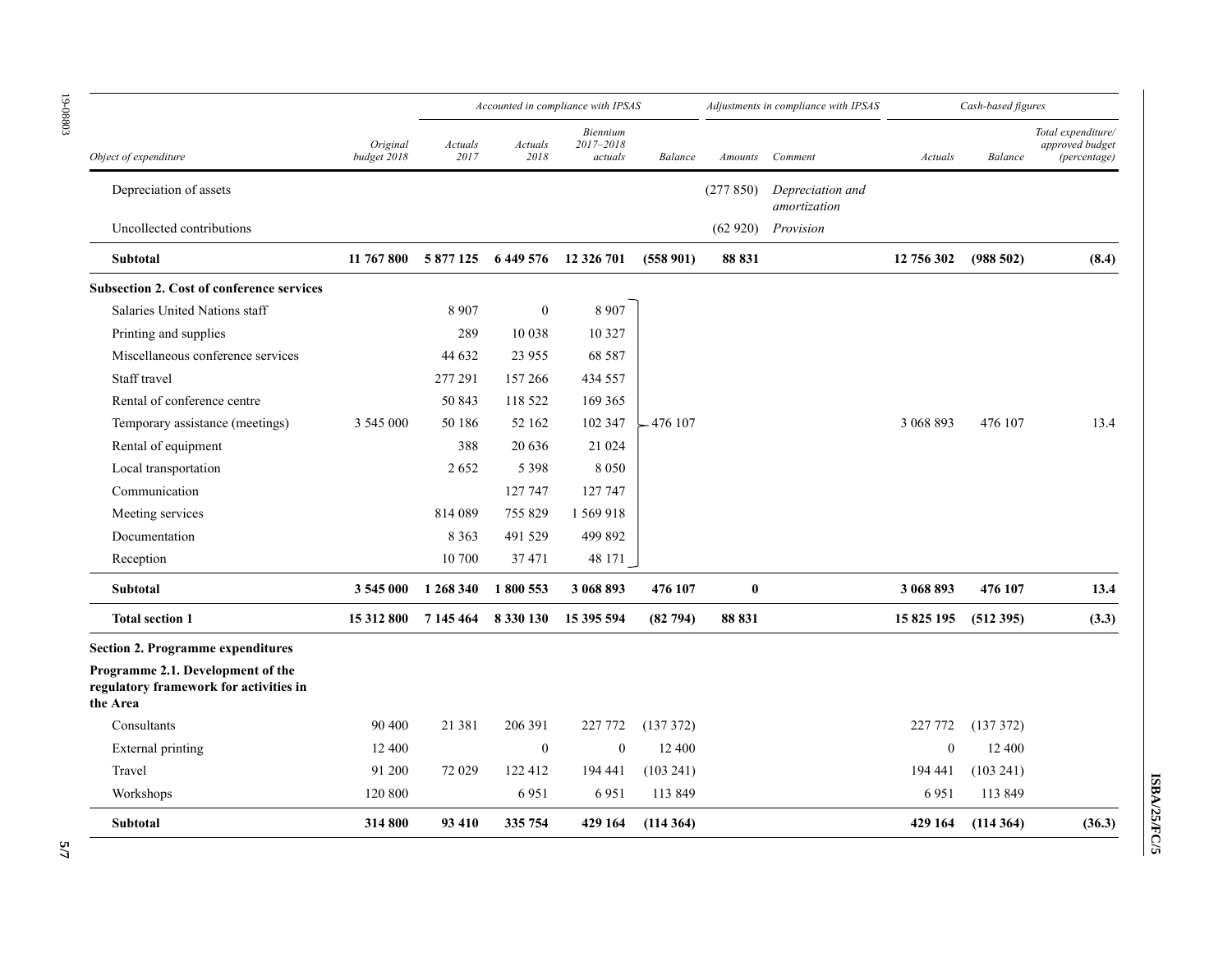|                                                                                         |                         | Accounted in compliance with IPSAS |                  |                                  |            | Adjustments in compliance with IPSAS |                                  | Cash-based figures |           |                                                       |
|-----------------------------------------------------------------------------------------|-------------------------|------------------------------------|------------------|----------------------------------|------------|--------------------------------------|----------------------------------|--------------------|-----------|-------------------------------------------------------|
| Object of expenditure                                                                   | Original<br>budget 2018 | Actuals<br>2017                    | Actuals<br>2018  | Biennium<br>2017-2018<br>actuals | Balance    | Amounts                              | Comment                          | Actuals            | Balance   | Total expenditure/<br>approved budget<br>(percentage) |
| Depreciation of assets                                                                  |                         |                                    |                  |                                  |            | (277850)                             | Depreciation and<br>amortization |                    |           |                                                       |
| Uncollected contributions                                                               |                         |                                    |                  |                                  |            |                                      | $(62 920)$ Provision             |                    |           |                                                       |
| <b>Subtotal</b>                                                                         | 11 767 800              |                                    |                  | 5 877 125 6 449 576 12 326 701   | (558901)   | 88 831                               |                                  | 12 756 302         | (988502)  | (8.4)                                                 |
| <b>Subsection 2. Cost of conference services</b>                                        |                         |                                    |                  |                                  |            |                                      |                                  |                    |           |                                                       |
| Salaries United Nations staff                                                           |                         | 8 9 0 7                            | $\boldsymbol{0}$ | 8 9 0 7                          |            |                                      |                                  |                    |           |                                                       |
| Printing and supplies                                                                   |                         | 289                                | 10 038           | 10 3 27                          |            |                                      |                                  |                    |           |                                                       |
| Miscellaneous conference services                                                       |                         | 44 632                             | 23 9 55          | 68 5 8 7                         |            |                                      |                                  |                    |           |                                                       |
| Staff travel                                                                            |                         | 277 291                            | 157 266          | 434 557                          |            |                                      |                                  |                    |           |                                                       |
| Rental of conference centre                                                             |                         | 50 843                             | 118 522          | 169 365                          |            |                                      |                                  |                    |           |                                                       |
| Temporary assistance (meetings)                                                         | 3 545 000               | 50 186                             | 52 162           | 102 347                          | $-476$ 107 |                                      |                                  | 3 068 893          | 476 107   | 13.4                                                  |
| Rental of equipment                                                                     |                         | 388                                | 20 636           | 21 0 24                          |            |                                      |                                  |                    |           |                                                       |
| Local transportation                                                                    |                         | 2652                               | 5 3 9 8          | 8050                             |            |                                      |                                  |                    |           |                                                       |
| Communication                                                                           |                         |                                    | 127 747          | 127 747                          |            |                                      |                                  |                    |           |                                                       |
| Meeting services                                                                        |                         | 814 089                            | 755829           | 1 569 918                        |            |                                      |                                  |                    |           |                                                       |
| Documentation                                                                           |                         | 8 3 6 3                            | 491 529          | 499 892                          |            |                                      |                                  |                    |           |                                                       |
| Reception                                                                               |                         | 10 700                             | 37471            | 48 171                           |            |                                      |                                  |                    |           |                                                       |
| Subtotal                                                                                | 3 545 000               | 1 268 340                          | 1800 553         | 3 068 893                        | 476 107    | $\bf{0}$                             |                                  | 3 068 893          | 476 107   | 13.4                                                  |
| <b>Total section 1</b>                                                                  | 15 312 800              | 7 145 464                          | 8 3 3 0 1 3 0    | 15 395 594                       | (82794)    | 88 831                               |                                  | 15 825 195         | (512395)  | (3.3)                                                 |
| <b>Section 2. Programme expenditures</b>                                                |                         |                                    |                  |                                  |            |                                      |                                  |                    |           |                                                       |
| Programme 2.1. Development of the<br>regulatory framework for activities in<br>the Area |                         |                                    |                  |                                  |            |                                      |                                  |                    |           |                                                       |
| Consultants                                                                             | 90 400                  | 21 3 8 1                           | 206 391          | 227 772                          | (137372)   |                                      |                                  | 227 772            | (137372)  |                                                       |
| External printing                                                                       | 12 400                  |                                    | $\boldsymbol{0}$ | $\boldsymbol{0}$                 | 12 400     |                                      |                                  | $\theta$           | 12 400    |                                                       |
| Travel                                                                                  | 91 200                  | 72 029                             | 122 412          | 194 441                          | (103 241)  |                                      |                                  | 194 441            | (103 241) |                                                       |
| Workshops                                                                               | 120 800                 |                                    | 6951             | 6951                             | 113 849    |                                      |                                  | 6951               | 113 849   |                                                       |
| <b>Subtotal</b>                                                                         | 314 800                 | 93 410                             | 335 754          | 429 164                          | (114364)   |                                      |                                  | 429 164            | (114364)  | (36.3)                                                |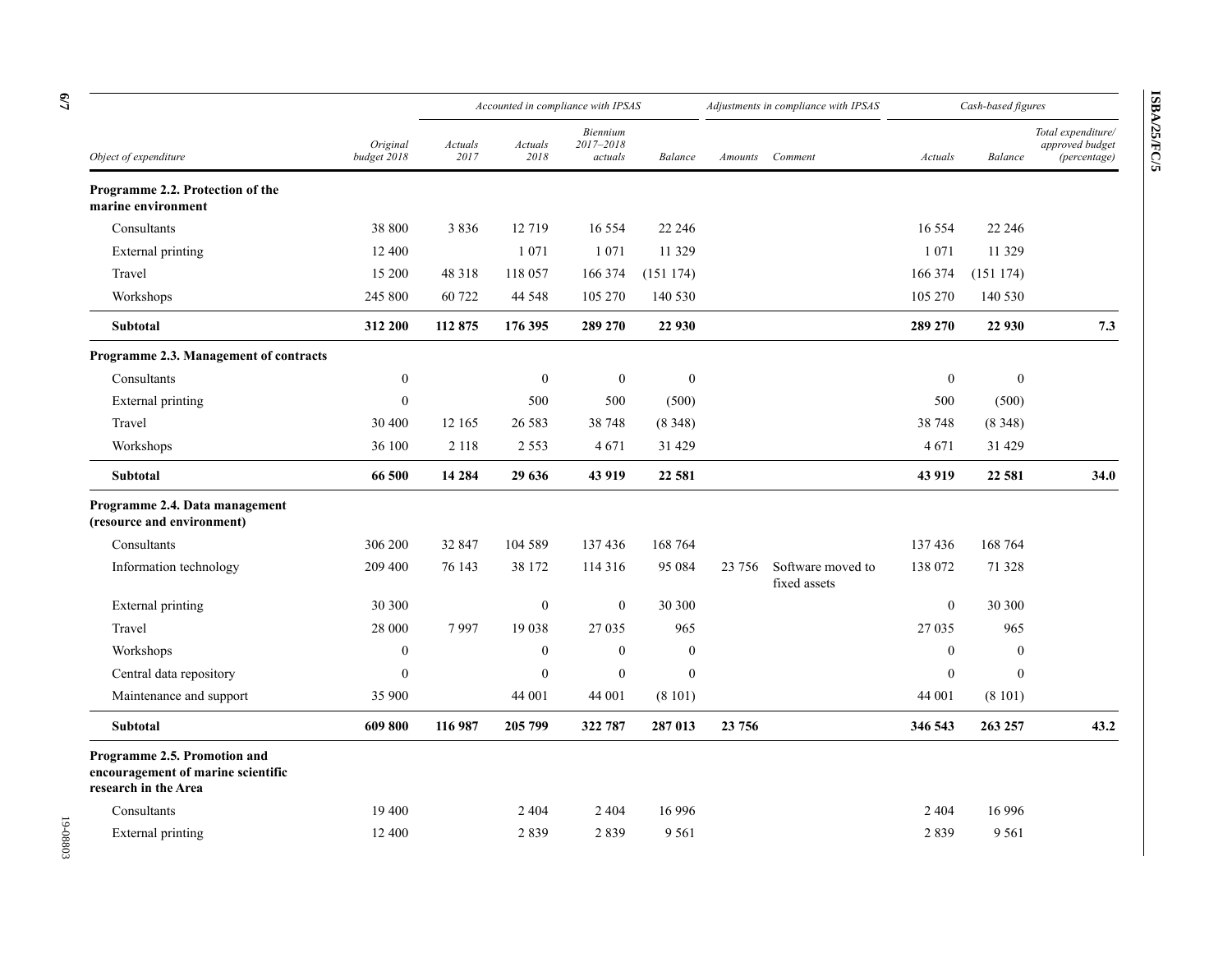|                                                                                            |                         | Accounted in compliance with IPSAS |                  |                                  |                  | Adjustments in compliance with IPSAS |                                   | Cash-based figures |                  |                                                       |
|--------------------------------------------------------------------------------------------|-------------------------|------------------------------------|------------------|----------------------------------|------------------|--------------------------------------|-----------------------------------|--------------------|------------------|-------------------------------------------------------|
| Object of expenditure                                                                      | Original<br>budget 2018 | Actuals<br>2017                    | Actuals<br>2018  | Biennium<br>2017-2018<br>actuals | Balance          | Amounts                              | Comment                           | Actuals            | Balance          | Total expenditure/<br>approved budget<br>(percentage) |
| Programme 2.2. Protection of the<br>marine environment                                     |                         |                                    |                  |                                  |                  |                                      |                                   |                    |                  |                                                       |
| Consultants                                                                                | 38 800                  | 3836                               | 12719            | 16 5 5 4                         | 22 24 6          |                                      |                                   | 16 5 5 4           | 22 24 6          |                                                       |
| <b>External printing</b>                                                                   | 12 400                  |                                    | 1 0 7 1          | 1 0 7 1                          | 11 329           |                                      |                                   | 1 0 7 1            | 11 3 29          |                                                       |
| Travel                                                                                     | 15 200                  | 48 3 18                            | 118 057          | 166 374                          | (151174)         |                                      |                                   | 166 374            | (151174)         |                                                       |
| Workshops                                                                                  | 245 800                 | 60722                              | 44 5 48          | 105 270                          | 140 530          |                                      |                                   | 105 270            | 140 530          |                                                       |
| Subtotal                                                                                   | 312 200                 | 112 875                            | 176 395          | 289 270                          | 22 930           |                                      |                                   | 289 270            | 22 930           | 7.3                                                   |
| Programme 2.3. Management of contracts                                                     |                         |                                    |                  |                                  |                  |                                      |                                   |                    |                  |                                                       |
| Consultants                                                                                | $\boldsymbol{0}$        |                                    | $\boldsymbol{0}$ | $\boldsymbol{0}$                 | $\boldsymbol{0}$ |                                      |                                   | $\boldsymbol{0}$   | $\boldsymbol{0}$ |                                                       |
| External printing                                                                          | $\mathbf{0}$            |                                    | 500              | 500                              | (500)            |                                      |                                   | 500                | (500)            |                                                       |
| Travel                                                                                     | 30 400                  | 12 165                             | 26 5 8 3         | 38 748                           | (8348)           |                                      |                                   | 38 748             | (8348)           |                                                       |
| Workshops                                                                                  | 36 100                  | 2 1 1 8                            | 2 5 5 3          | 4671                             | 31 4 29          |                                      |                                   | 4671               | 31 4 29          |                                                       |
| Subtotal                                                                                   | 66 500                  | 14 2 84                            | 29 636           | 43 919                           | 22 5 81          |                                      |                                   | 43 919             | 22 581           | <b>34.0</b>                                           |
| Programme 2.4. Data management<br>(resource and environment)                               |                         |                                    |                  |                                  |                  |                                      |                                   |                    |                  |                                                       |
| Consultants                                                                                | 306 200                 | 32 847                             | 104 589          | 137436                           | 168 764          |                                      |                                   | 137436             | 168 764          |                                                       |
| Information technology                                                                     | 209 400                 | 76 143                             | 38 172           | 114 316                          | 95 084           | 23 756                               | Software moved to<br>fixed assets | 138 072            | 71 328           |                                                       |
| External printing                                                                          | 30 300                  |                                    | $\boldsymbol{0}$ | $\boldsymbol{0}$                 | 30 300           |                                      |                                   | $\mathbf{0}$       | 30 300           |                                                       |
| Travel                                                                                     | 28 000                  | 7997                               | 19 038           | 27 035                           | 965              |                                      |                                   | 27 035             | 965              |                                                       |
| Workshops                                                                                  | $\boldsymbol{0}$        |                                    | $\boldsymbol{0}$ | $\boldsymbol{0}$                 | $\boldsymbol{0}$ |                                      |                                   | $\mathbf{0}$       | $\boldsymbol{0}$ |                                                       |
| Central data repository                                                                    | $\mathbf{0}$            |                                    | $\mathbf{0}$     | $\boldsymbol{0}$                 | $\boldsymbol{0}$ |                                      |                                   | $\boldsymbol{0}$   | $\mathbf{0}$     |                                                       |
| Maintenance and support                                                                    | 35 900                  |                                    | 44 001           | 44 001                           | (8101)           |                                      |                                   | 44 001             | (8101)           |                                                       |
| Subtotal                                                                                   | 609 800                 | 116 987                            | 205 799          | 322 787                          | 287 013          | 23 756                               |                                   | 346 543            | 263 257          | 43.2                                                  |
| Programme 2.5. Promotion and<br>encouragement of marine scientific<br>research in the Area |                         |                                    |                  |                                  |                  |                                      |                                   |                    |                  |                                                       |
| Consultants                                                                                | 19 400                  |                                    | 2 4 0 4          | 2 4 0 4                          | 16 9 96          |                                      |                                   | 2 4 0 4            | 16 9 96          |                                                       |
| External printing                                                                          | 12 400                  |                                    | 2839             | 2839                             | 9 5 6 1          |                                      |                                   | 2839               | 9 5 6 1          |                                                       |